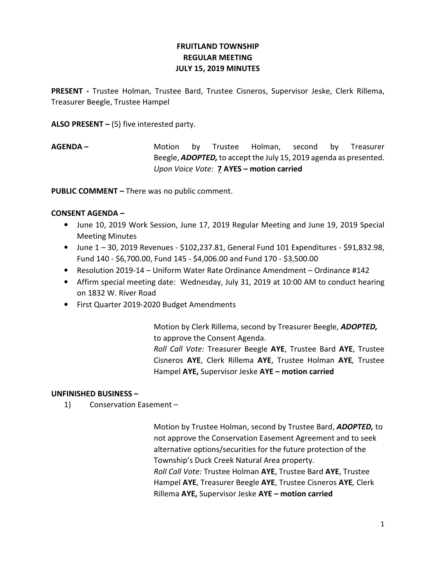# FRUITLAND TOWNSHIP REGULAR MEETING JULY 15, 2019 MINUTES

PRESENT - Trustee Holman, Trustee Bard, Trustee Cisneros, Supervisor Jeske, Clerk Rillema, Treasurer Beegle, Trustee Hampel

ALSO PRESENT  $-$  (5) five interested party.

AGENDA – The Motion by Trustee Holman, second by Treasurer Beegle, **ADOPTED**, to accept the July 15, 2019 agenda as presented. Upon Voice Vote: 7 AYES – motion carried

PUBLIC COMMENT – There was no public comment.

## CONSENT AGENDA –

- June 10, 2019 Work Session, June 17, 2019 Regular Meeting and June 19, 2019 Special Meeting Minutes
- June  $1 30$ , 2019 Revenues \$102,237.81, General Fund 101 Expenditures \$91,832.98, Fund 140 - \$6,700.00, Fund 145 - \$4,006.00 and Fund 170 - \$3,500.00
- Resolution 2019-14 Uniform Water Rate Ordinance Amendment Ordinance #142
- Affirm special meeting date: Wednesday, July 31, 2019 at 10:00 AM to conduct hearing on 1832 W. River Road
- First Quarter 2019-2020 Budget Amendments

 Motion by Clerk Rillema, second by Treasurer Beegle, ADOPTED, to approve the Consent Agenda.

Roll Call Vote: Treasurer Beegle AYE, Trustee Bard AYE, Trustee Cisneros AYE, Clerk Rillema AYE, Trustee Holman AYE, Trustee Hampel AYE, Supervisor Jeske AYE - motion carried

#### UNFINISHED BUSINESS –

1) Conservation Easement –

Motion by Trustee Holman, second by Trustee Bard, ADOPTED, to not approve the Conservation Easement Agreement and to seek alternative options/securities for the future protection of the Township's Duck Creek Natural Area property. Roll Call Vote: Trustee Holman AYE, Trustee Bard AYE, Trustee Hampel AYE, Treasurer Beegle AYE, Trustee Cisneros AYE, Clerk Rillema AYE, Supervisor Jeske AYE – motion carried